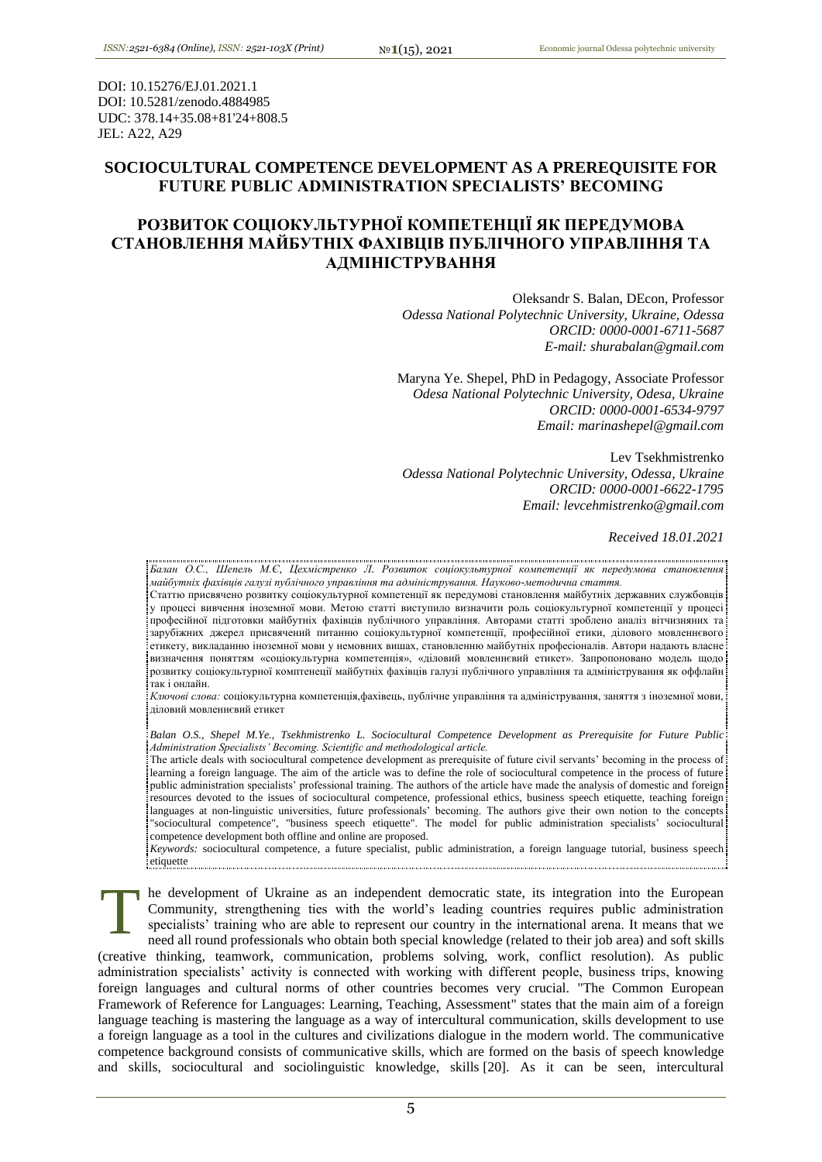DOI: 10.15276/EJ.01.2021.1 DOI: 10.5281/zenodo.4884985 UDC: 378.14+35.08+81'24+808.5 JEL: A22, A29

# **SOCIOCULTURAL COMPETENCE DEVELOPMENT AS A PREREQUISITE FOR FUTURE PUBLIC ADMINISTRATION SPECIALISTS' BECOMING**

# **РОЗВИТОК СОЦІОКУЛЬТУРНОЇ КОМПЕТЕНЦІЇ ЯК ПЕРЕДУМОВА СТАНОВЛЕННЯ МАЙБУТНІХ ФАХІВЦІВ ПУБЛІЧНОГО УПРАВЛІННЯ ТА АДМІНІСТРУВАННЯ**

Oleksandr S. Balan, DEcon, Professor *Odessa National Polytechnic University, Ukraine, Odessa ORCID: 0000-0001-6711-5687 E-mail: shurabalan@gmail.com*

Maryna Ye. Shepel, PhD in Pedagogy, Associate Professor *Odesa National Polytechnic University, Odesa, Ukraine ORCID: 0000-0001-6534-9797 Email: marinashepel@gmail.com*

Lev Tsekhmistrenko *Odessa National Polytechnic University, Odessa, Ukraine ORCID: 0000-0001-6622-1795 Email: levcehmistrenko@gmail.com*

## *Received 18.01.2021*

*Балан О.С., Шепель М.Є, Цехмістренко Л. Розвиток соціокультурної компетенції як передумова становлення майбутніх фахівців галузі публічного управління та адміністрування. Науково-методична стаття.*

Статтю присвячено розвитку соціокультурної компетенції як передумові становлення майбутніх державних службовців у процесі вивчення іноземної мови. Метою статті виступило визначити роль соціокультурної компетенції у процесі професійної підготовки майбутніх фахівців публічного управління. Авторами статті зроблено аналіз вітчизняних та зарубіжних джерел присвячений питанню соціокультурної компетенції, професійної етики, ділового мовленнєвого етикету, викладанню іноземної мови у немовних вишах, становленню майбутніх професіоналів. Автори надають власне визначення поняттям «соціокультурна компетенція», «діловий мовленнєвий етикет». Запропоновано модель щодо розвитку соціокультурної комптенеції майбутніх фахівців галузі публічного управління та адміністрування як оффлайн так і онлайн.

*Ключові слова:* соціокультурна компетенція,фахівець, публічне управління та адміністрування, заняття з іноземної мови, діловий мовленнєвий етикет

*Balan O.S., Shepel M.Ye., Tsekhmistrenko L. Sociocultural Competence Development as Prerequisite for Future Public Administration Specialists' Becoming. Scientific and methodological article.*

The article deals with sociocultural competence development as prerequisite of future civil servants' becoming in the process of learning a foreign language. The aim of the article was to define the role of sociocultural competence in the process of future public administration specialists' professional training. The authors of the article have made the analysis of domestic and foreign resources devoted to the issues of sociocultural competence, professional ethics, business speech etiquette, teaching foreign languages at non-linguistic universities, future professionals' becoming. The authors give their own notion to the concepts "sociocultural competence", "business speech etiquette". The model for public administration specialists' sociocultural competence development both offline and online are proposed.

*Keywords:* sociocultural competence, a future specialist, public administration, a foreign language tutorial, business speech etiquette

he development of Ukraine as an independent democratic state, its integration into the European Community, strengthening ties with the world's leading countries requires public administration specialists' training who are able to represent our country in the international arena. It means that we need all round professionals who obtain both special knowledge (related to their job area) and soft skills (creative thinking, teamwork, communication, problems solving, work, conflict resolution). As public administration specialists' activity is connected with working with different people, business trips, knowing foreign languages and cultural norms of other countries becomes very crucial. "The Common European Framework of Reference for Languages: Learning, Teaching, Assessment" states that the main aim of a foreign language teaching is mastering the language as a way of intercultural communication, skills development to use a foreign language as a tool in the cultures and civilizations dialogue in the modern world. The communicative competence background consists of communicative skills, which are formed on the basis of speech knowledge and skills, sociocultural and sociolinguistic knowledge, skills [20]. As it can be seen, intercultural T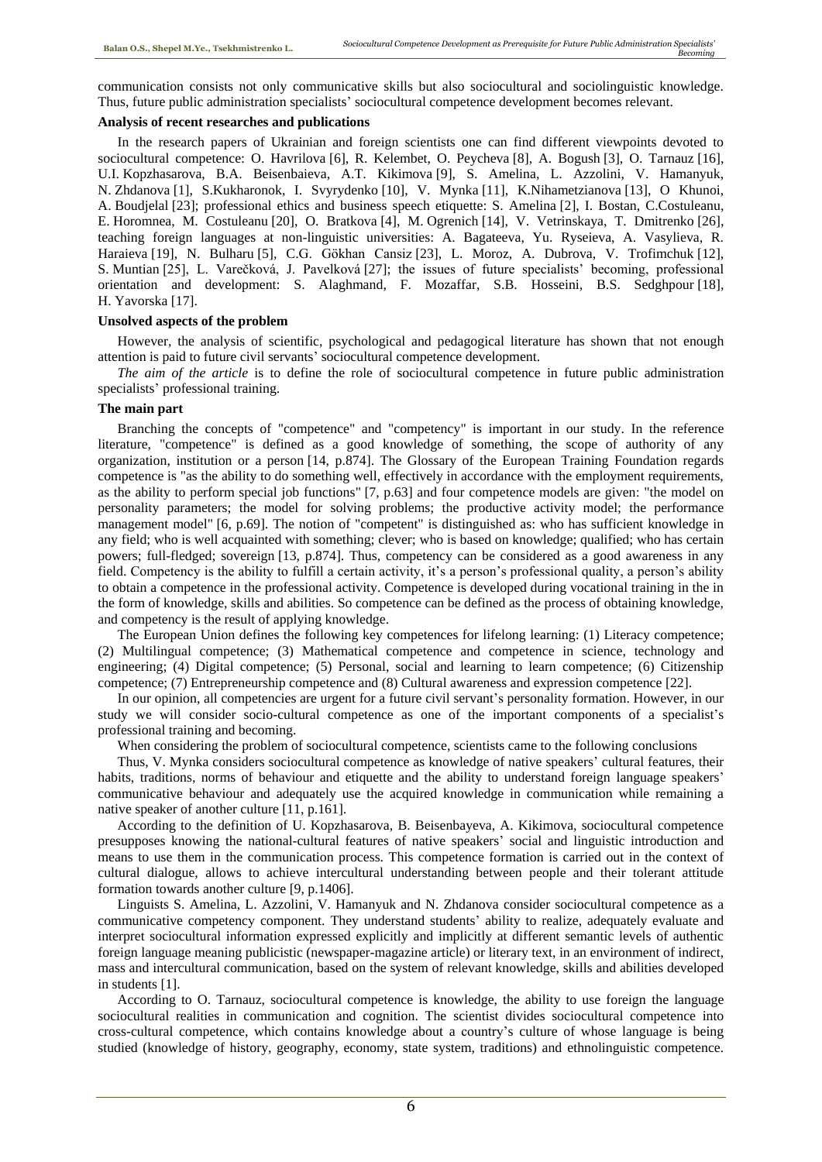communication consists not only communicative skills but also sociocultural and sociolinguistic knowledge. Thus, future public administration specialists' sociocultural competence development becomes relevant.

## **Analysis of recent researches and publications**

In the research papers of Ukrainian and foreign scientists one can find different viewpoints devoted to sociocultural competence: O. Havrilova [6], R. Kelembet, O. Peycheva [8], A. Bogush [3], O. Tarnauz [16], U.I. Kopzhasarova, B.A. Beisenbaieva, A.T. Kikimova [9], S. Amelina, L. Azzolini, V. Hamanyuk, N. Zhdanova [1], S.Kukharonok, I. Svyrydenko [10], V. Mynka [11], K.Nihametzianova [13], O Khunoi, A. Boudjelal [23]; professional ethics and business speech etiquette: S. Amelina [2], I. Bostan, C.Costuleanu, E. Horomnea, M. Costuleanu [20], O. Bratkova [4], M. Ogrenich [14], V. Vetrinskaya, T. Dmitrenko [26], teaching foreign languages at non-linguistic universities: A. Bagateeva, Yu. Ryseieva, A. Vasylieva, R. Haraieva [19], N. Bulharu [5], C.G. Gökhan Cansiz [23], L. Moroz, A. Dubrova, V. Trofimchuk [12], S. Muntian [25], L. Varečková, J. Pavelková [27]; the issues of future specialists' becoming, professional orientation and development: S. Alaghmand, F. Mozaffar, S.B. Hosseini, B.S. Sedghpour [18], H. Yavorska [17].

# **Unsolved aspects of the problem**

However, the analysis of scientific, psychological and pedagogical literature has shown that not enough attention is paid to future civil servants' sociocultural competence development.

*The aim of the article* is to define the role of sociocultural competence in future public administration specialists' professional training.

# **The main part**

Branching the concepts of "competence" and "competency" is important in our study. In the reference literature, "competence" is defined as a good knowledge of something, the scope of authority of any organization, institution or a person [14, p.874]. The Glossary of the European Training Foundation regards competence is "as the ability to do something well, effectively in accordance with the employment requirements, as the ability to perform special job functions" [7, p.63] and four competence models are given: "the model on personality parameters; the model for solving problems; the productive activity model; the performance management model" [6, p.69]. The notion of "competent" is distinguished as: who has sufficient knowledge in any field; who is well acquainted with something; clever; who is based on knowledge; qualified; who has certain powers; full-fledged; sovereign [13, p.874]. Thus, competency can be considered as a good awareness in any field. Competency is the ability to fulfill a certain activity, it's a person's professional quality, a person's ability to obtain a competence in the professional activity. Competence is developed during vocational training in the in the form of knowledge, skills and abilities. So competence can be defined as the process of obtaining knowledge, and competency is the result of applying knowledge.

The European Union defines the following key competences for lifelong learning: (1) Literacy competence; (2) Multilingual competence; (3) Mathematical competence and competence in science, technology and engineering; (4) Digital competence; (5) Personal, social and learning to learn competence; (6) Citizenship competence; (7) Entrepreneurship competence and (8) Cultural awareness and expression competence [22].

In our opinion, all competencies are urgent for a future civil servant's personality formation. However, in our study we will consider socio-cultural competence as one of the important components of a specialist's professional training and becoming.

When considering the problem of sociocultural competence, scientists came to the following conclusions

Thus, V. Mynka considers sociocultural competence as knowledge of native speakers' cultural features, their habits, traditions, norms of behaviour and etiquette and the ability to understand foreign language speakers' communicative behaviour and adequately use the acquired knowledge in communication while remaining a native speaker of another culture [11, p.161].

According to the definition of U. Kopzhasarova, B. Beisenbayeva, A. Kikimova, sociocultural competence presupposes knowing the national-cultural features of native speakers' social and linguistic introduction and means to use them in the communication process. This competence formation is carried out in the context of cultural dialogue, allows to achieve intercultural understanding between people and their tolerant attitude formation towards another culture [9, p.1406].

Linguists S. Amelina, L. Azzolini, V. Hamanyuk and N. Zhdanova consider sociocultural competence as a communicative competencу component. They understand students' ability to realize, adequately evaluate and interpret sociocultural information expressed explicitly and implicitly at different semantic levels of authentic foreign language meaning publicistic (newspaper-magazine article) or literary text, in an environment of indirect, mass and intercultural communication, based on the system of relevant knowledge, skills and abilities developed in students [1].

According to O. Tarnauz, sociocultural competence is knowledge, the ability to use foreign the language sociocultural realities in communication and cognition. The scientist divides sociocultural competence into cross-cultural competence, which contains knowledge about a country's culture of whose language is being studied (knowledge of history, geography, economy, state system, traditions) and ethnolinguistic competence.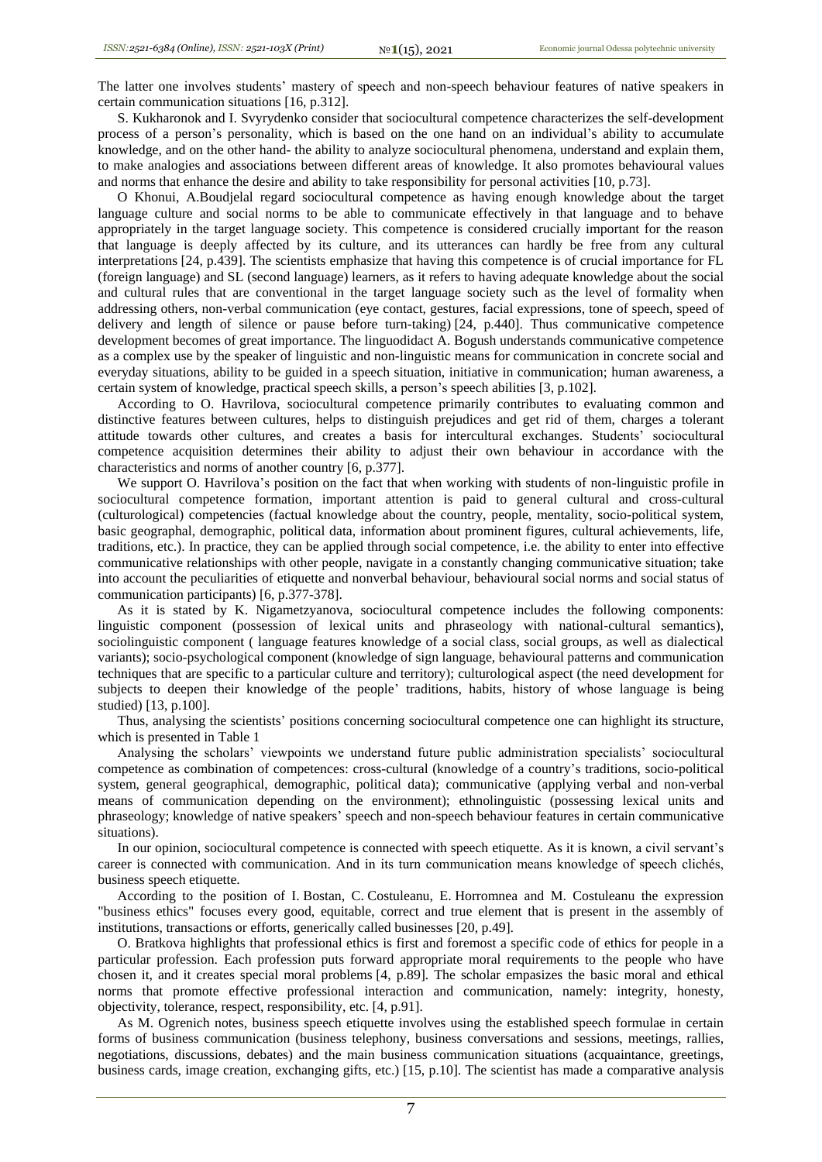The latter one involves students' mastery of speech and non-speech behaviour features of native speakers in certain communication situations [16, p.312].

S. Kukharonok and I. Svyrydenko consider that sociocultural competence characterizes the self-development process of a person's personality, which is based on the one hand on an individual's ability to accumulate knowledge, and on the other hand- the ability to analyze sociocultural phenomena, understand and explain them, to make analogies and associations between different areas of knowledge. It also promotes behavioural values and norms that enhance the desire and ability to take responsibility for personal activities [10, p.73].

O Khonui, A.Boudjelal regard sociocultural competence as having enough knowledge about the target language culture and social norms to be able to communicate effectively in that language and to behave appropriately in the target language society. This competence is considered crucially important for the reason that language is deeply affected by its culture, and its utterances can hardly be free from any cultural interpretations [24, p.439]. The scientists emphasize that having this competence is of crucial importance for FL (foreign language) and SL (second language) learners, as it refers to having adequate knowledge about the social and cultural rules that are conventional in the target language society such as the level of formality when addressing others, non-verbal communication (eye contact, gestures, facial expressions, tone of speech, speed of delivery and length of silence or pause before turn-taking) [24, p.440]. Thus communicative competence development becomes of great importance. The linguodidact A. Bogush understands communicative competence as a complex use by the speaker of linguistic and non-linguistic means for communication in concrete social and everyday situations, ability to be guided in a speech situation, initiative in communication; human awareness, a certain system of knowledge, practical speech skills, a person's speech abilities [3, p.102].

According to O. Havrilova, sociocultural competence primarily contributes to evaluating common and distinctive features between cultures, helps to distinguish prejudices and get rid of them, charges a tolerant attitude towards other cultures, and creates a basis for intercultural exchanges. Students' sociocultural competence acquisition determines their ability to adjust their own behaviour in accordance with the characteristics and norms of another country [6, p.377].

We support O. Havrilova's position on the fact that when working with students of non-linguistic profile in sociocultural competence formation, important attention is paid to general cultural and cross-cultural (culturological) competencies (factual knowledge about the country, people, mentality, socio-political system, basic geographal, demographic, political data, information about prominent figures, cultural achievements, life, traditions, etc.). In practice, they can be applied through social competence, i.e. the ability to enter into effective communicative relationships with other people, navigate in a constantly changing communicative situation; take into account the peculiarities of etiquette and nonverbal behaviour, behavioural social norms and social status of communication participants) [6, p.377-378].

As it is stated by K. Nigametzyanova, sociocultural competence includes the following components: linguistic component (possession of lexical units and phraseology with national-cultural semantics), sociolinguistic component ( language features knowledge of a social class, social groups, as well as dialectical variants); socio-psychological component (knowledge of sign language, behavioural patterns and communication techniques that are specific to a particular culture and territory); culturological aspect (the need development for subjects to deepen their knowledge of the people' traditions, habits, history of whose language is being studied) [13, p.100].

Thus, analysing the scientists' positions concerning sociocultural competence one can highlight its structure, which is presented in Table 1

Analysing the scholars' viewpoints we understand future public administration specialists' sociocultural competence as сombination of competences: cross-cultural (knowledge of a country's traditions, socio-political system, general geographical, demographic, political data); communicative (applying verbal and non-verbal means of communication depending on the environment); ethnolinguistic (possessing lexical units and phraseology; knowledge of native speakers' speech and non-speech behaviour features in certain communicative situations).

In our opinion, sociocultural competence is connected with speech etiquette. As it is known, a civil servant's career is connected with communication. And in its turn communication means knowledge of speech clichés, business speech etiquette.

According to the position of I. Bostan, C. Costuleanu, E. Horromnea and M. Costuleanu the expression "business ethics" focuses every good, equitable, correct and true element that is present in the assembly of institutions, transactions or efforts, generically called businesses [20, p.49].

O. Bratkova highlights that professional ethics is first and foremost a specific code of ethics for people in a particular profession. Each profession puts forward appropriate moral requirements to the people who have chosen it, and it creates special moral problems [4, p.89]. The scholar empasizes the basic moral and ethical norms that promote effective professional interaction and communication, namely: integrity, honesty, objectivity, tolerance, respect, responsibility, etc. [4, p.91].

As M. Ogrenich notes, business speech etiquette involves using the established speech formulae in certain forms of business communication (business telephony, business conversations and sessions, meetings, rallies, negotiations, discussions, debates) and the main business communication situations (acquaintance, greetings, business cards, image creation, exchanging gifts, etc.) [15, p.10]. The scientist has made a comparative analysis

7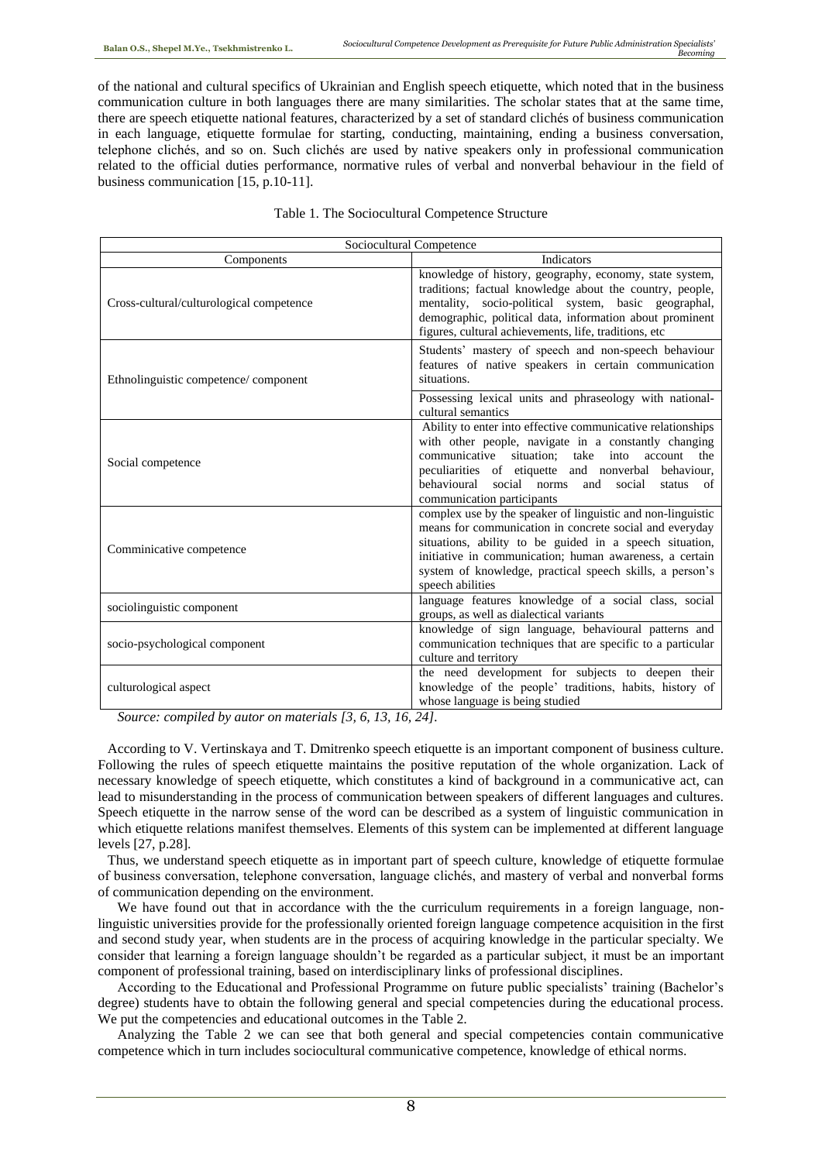of the national and cultural specifics of Ukrainian and English speech etiquette, which noted that in the business communication culture in both languages there are many similarities. The scholar states that at the same time, there are speech etiquette national features, characterized by a set of standard clichés of business communication in each language, etiquette formulae for starting, conducting, maintaining, ending a business conversation, telephone clichés, and so on. Such clichés are used by native speakers only in professional communication related to the official duties performance, normative rules of verbal and nonverbal behaviour in the field of business communication [15, p.10-11].

| Sociocultural Competence                                                                                            |                                                                                                                                                                                                                                                                                                                                  |
|---------------------------------------------------------------------------------------------------------------------|----------------------------------------------------------------------------------------------------------------------------------------------------------------------------------------------------------------------------------------------------------------------------------------------------------------------------------|
| Components                                                                                                          | <b>Indicators</b>                                                                                                                                                                                                                                                                                                                |
| Cross-cultural/culturological competence                                                                            | knowledge of history, geography, economy, state system,<br>traditions; factual knowledge about the country, people,<br>mentality, socio-political system, basic geographal,<br>demographic, political data, information about prominent<br>figures, cultural achievements, life, traditions, etc                                 |
| Ethnolinguistic competence/component                                                                                | Students' mastery of speech and non-speech behaviour<br>features of native speakers in certain communication<br>situations.                                                                                                                                                                                                      |
|                                                                                                                     | Possessing lexical units and phraseology with national-<br>cultural semantics                                                                                                                                                                                                                                                    |
| Social competence                                                                                                   | Ability to enter into effective communicative relationships<br>with other people, navigate in a constantly changing<br>communicative situation; take<br>into<br>the<br>account<br>peculiarities of etiquette and nonverbal behaviour,<br>behavioural social norms<br>and<br>social<br>status<br>of<br>communication participants |
| Comminicative competence                                                                                            | complex use by the speaker of linguistic and non-linguistic<br>means for communication in concrete social and everyday<br>situations, ability to be guided in a speech situation,<br>initiative in communication; human awareness, a certain<br>system of knowledge, practical speech skills, a person's<br>speech abilities     |
| sociolinguistic component                                                                                           | language features knowledge of a social class, social<br>groups, as well as dialectical variants                                                                                                                                                                                                                                 |
| socio-psychological component                                                                                       | knowledge of sign language, behavioural patterns and<br>communication techniques that are specific to a particular<br>culture and territory                                                                                                                                                                                      |
| culturological aspect<br>$\cdot$ $\cdot$ $\cdot$ $\cdot$ $\cdot$<br>$\cdot$ $\cdot$ $\cdot$ $\cdot$<br>$\mathbf{z}$ | the need development for subjects to deepen their<br>knowledge of the people' traditions, habits, history of<br>whose language is being studied<br>$\sim$ $\cdot$ $\cdot$                                                                                                                                                        |

*Source: compiled by autor on materials [3, 6, 13, 16, 24].*

According to V. Vertinskaya and T. Dmitrenko speech etiquette is an important component of business culture. Following the rules of speech etiquette maintains the positive reputation of the whole organization. Lack of necessary knowledge of speech etiquette, which constitutes a kind of background in a communicative act, can lead to misunderstanding in the process of communication between speakers of different languages and cultures. Speech etiquette in the narrow sense of the word can be described as a system of linguistic communication in which etiquette relations manifest themselves. Elements of this system can be implemented at different language levels [27, p.28].

Thus, we understand speech etiquette as in important part of speech culture, knowledge of etiquette formulae of business conversation, telephone conversation, language clichés, and mastery of verbal and nonverbal forms of communication depending on the environment.

We have found out that in accordance with the the curriculum requirements in a foreign language, nonlinguistic universities provide for the professionally oriented foreign language competence acquisition in the first and second study year, when students are in the process of acquiring knowledge in the particular specialty. We consider that learning a foreign language shouldn't be regarded as a particular subject, it must be an important component of professional training, based on interdisciplinary links of professional disciplines.

According to the Educational and Professional Programme on future public specialists' training (Bachelor's degree) students have to obtain the following general and special competencies during the educational process. We put the competencies and educational outcomes in the Table 2.

Analyzing the Table 2 we can see that both general and special competencies contain communicative competence which in turn includes sociocultural communicative competence, knowledge of ethical norms.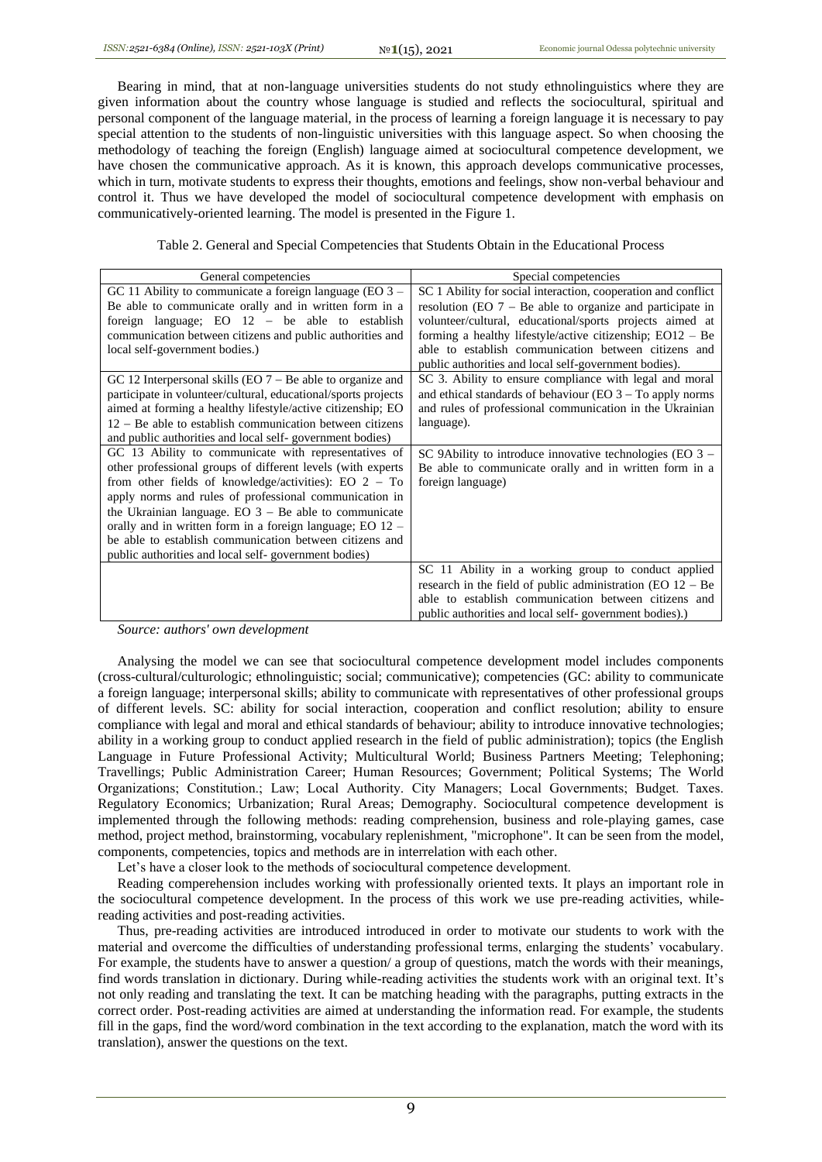Bearing in mind, that at non-language universities students do not study ethnolinguistics where they are given information about the country whose language is studied and reflects the sociocultural, spiritual and personal component of the language material, in the process of learning a foreign language it is necessary to pay special attention to the students of non-linguistic universities with this language aspect. So when choosing the methodology of teaching the foreign (English) language aimed at sociocultural competence development, we have chosen the communicative approach. As it is known, this approach develops communicative processes, which in turn, motivate students to express their thoughts, emotions and feelings, show non-verbal behaviour and control it. Thus we have developed the model of sociocultural competence development with emphasis on communicatively-oriented learning. The model is presented in the Figure 1.

Table 2. General and Special Competencies that Students Obtain in the Educational Process

| General competencies                                           | Special competencies                                           |
|----------------------------------------------------------------|----------------------------------------------------------------|
| GC 11 Ability to communicate a foreign language (EO $3 -$      | SC 1 Ability for social interaction, cooperation and conflict  |
| Be able to communicate orally and in written form in a         | resolution (EO $7 - Be$ able to organize and participate in    |
| foreign language; EO $12 -$ be able to establish               | volunteer/cultural, educational/sports projects aimed at       |
| communication between citizens and public authorities and      | forming a healthy lifestyle/active citizenship; $EO12 - Be$    |
| local self-government bodies.)                                 | able to establish communication between citizens and           |
|                                                                | public authorities and local self-government bodies).          |
| GC 12 Interpersonal skills (EO $7 - Be$ able to organize and   | SC 3. Ability to ensure compliance with legal and moral        |
| participate in volunteer/cultural, educational/sports projects | and ethical standards of behaviour (EO $3 - To$ apply norms    |
| aimed at forming a healthy lifestyle/active citizenship; EO    | and rules of professional communication in the Ukrainian       |
| $12 - Be$ able to establish communication between citizens     | language).                                                     |
| and public authorities and local self-government bodies)       |                                                                |
| GC 13 Ability to communicate with representatives of           | SC 9Ability to introduce innovative technologies (EO 3 -       |
| other professional groups of different levels (with experts    | Be able to communicate orally and in written form in a         |
| from other fields of knowledge/activities): EO $2 - To$        | foreign language)                                              |
| apply norms and rules of professional communication in         |                                                                |
| the Ukrainian language. EO $3 - Be$ able to communicate        |                                                                |
| orally and in written form in a foreign language; EO $12 -$    |                                                                |
| be able to establish communication between citizens and        |                                                                |
| public authorities and local self-government bodies)           |                                                                |
|                                                                | SC 11 Ability in a working group to conduct applied            |
|                                                                | research in the field of public administration (EO $12 - Be$ ) |
|                                                                | able to establish communication between citizens and           |
|                                                                | public authorities and local self-government bodies).          |

*Source: authors' own development*

Analysing the model we can see that sociocultural competence development model includes components (cross-cultural/culturologic; ethnolinguistic; social; communicative); competencies (GC: ability to communicate a foreign language; interpersonal skills; ability to communicate with representatives of other professional groups of different levels. SC: ability for social interaction, cooperation and conflict resolution; ability to ensure compliance with legal and moral and ethical standards of behaviour; ability to introduce innovative technologies; ability in a working group to conduct applied research in the field of public administration); topics (the English Language in Future Professional Activity; Multicultural World; Business Partners Meeting; Telephoning; Travellings; Public Administration Career; Human Resources; Government; Political Systems; The World Organizations; Сonstitution.; Law; Local Authority. Сity Managers; Local Governments; Budget. Taxes. Regulatory Economics; Urbanization; Rural Areas; Demography. Sociocultural competence development is implemented through the following methods: reading comprehension, business and role-playing games, case method, project method, brainstorming, vocabulary replenishment, "microphone". It can be seen from the model, components, competencies, topics and methods are in interrelation with each other.

Let's have a closer look to the methods of sociocultural competence development.

Reading comperehension includes working with professionally oriented texts. It plays an important role in the sociocultural competence development. In the process of this work we use pre-reading activities, whilereading activities and post-reading activities.

Thus, pre-reading activities are introduced introduced in order to motivate our students to work with the material and overcome the difficulties of understanding professional terms, enlarging the students' vocabulary. For example, the students have to answer a question/ a group of questions, match the words with their meanings, find words translation in dictionary. During while-reading activities the students work with an original text. It's not only reading and translating the text. It can be matching heading with the paragraphs, putting extracts in the correct order. Post-reading activities are aimed at understanding the information read. For example, the students fill in the gaps, find the word/word combination in the text according to the explanation, match the word with its translation), answer the questions on the text.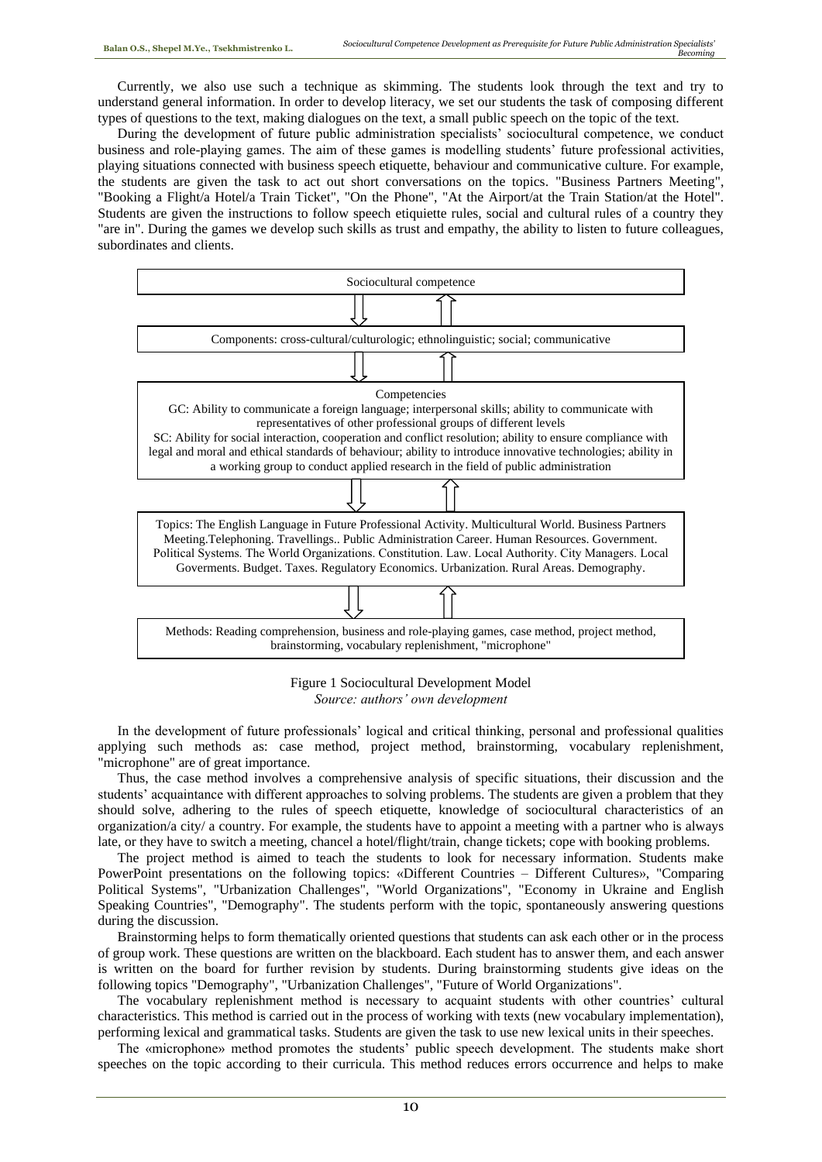Currently, we also use such a technique as skimming. The students look through the text and try to understand general information. In order to develop literacy, we set our students the task of composing different types of questions to the text, making dialogues on the text, a small public speech on the topic of the text.

During the development of future public administration specialists' sociocultural competence, we conduct business and role-playing games. The aim of these games is modelling students' future professional activities, playing situations connected with business speech etiquette, behaviour and communicative culture. For example, the students are given the task to act out short conversations on the topics. "Business Partners Meeting", "Booking a Flight/a Hotel/a Train Ticket", "On the Phone", "At the Airport/at the Train Station/at the Hotel". Students are given the instructions to follow speech etiquiette rules, social and cultural rules of a country they "are in". During the games we develop such skills as trust and empathy, the ability to listen to future colleagues, subordinates and clients.



Figure 1 Sociocultural Development Model *Source: authors' own development*

In the development of future professionals' logical and critical thinking, personal and professional qualities applying such methods as: case method, project method, brainstorming, vocabulary replenishment, "microphone" are of great importance.

Thus, the case method involves a comprehensive analysis of specific situations, their discussion and the students' acquaintance with different approaches to solving problems. The students are given a problem that they should solve, adhering to the rules of speech etiquette, knowledge of sociocultural characteristics of an organization/a city/ a country. For example, the students have to appoint a meeting with a partner who is always late, or they have to switch a meeting, chancel a hotel/flight/train, change tickets; cope with booking problems.

The project method is aimed to teach the students to look for necessary information. Students make PowerPoint presentations on the following topics: «Different Countries – Different Cultures», "Comparing Political Systems", "Urbanization Challenges", "World Organizations", "Economy in Ukraine and English Speaking Countries", "Demography". The students perform with the topic, spontaneously answering questions during the discussion.

Brainstorming helps to form thematically oriented questions that students can ask each other or in the process of group work. These questions are written on the blackboard. Each student has to answer them, and each answer is written on the board for further revision by students. During brainstorming students give ideas on the following topics "Demography", "Urbanization Challenges", "Future of World Organizations".

The vocabulary replenishment method is necessary to acquaint students with other countries' cultural characteristics. This method is carried out in the process of working with texts (new vocabulary implementation), performing lexical and grammatical tasks. Students are given the task to use new lexical units in their speeches.

The «microphone» method promotes the students' public speech development. The students make short speeches on the topic according to their curricula. This method reduces errors occurrence and helps to make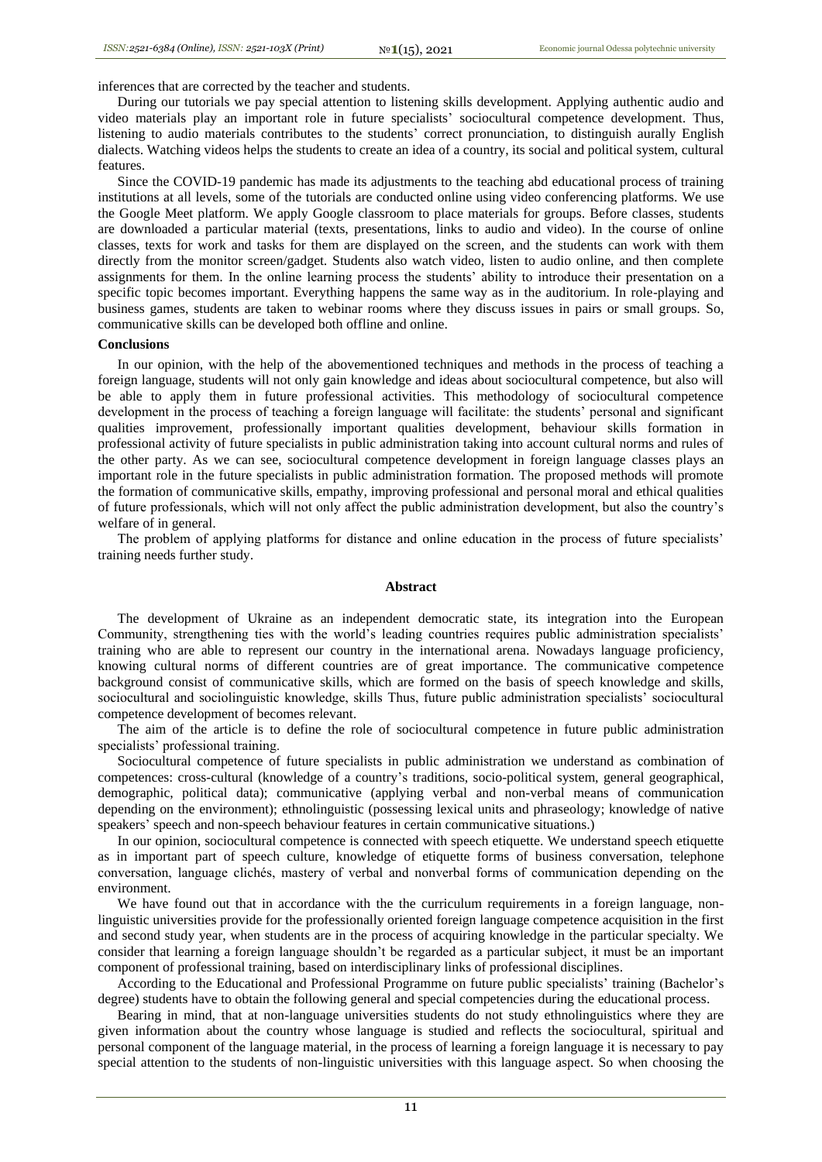inferences that are corrected by the teacher and students.

During our tutorials we pay special attention to listening skills development. Applying authentic audio and video materials play an important role in future specialists' sociocultural competence development. Thus, listening to audio materials contributes to the students' correct pronunciation, to distinguish aurally English dialects. Watching videos helps the students to create an idea of a country, its social and political system, cultural features.

Since the COVID-19 pandemic has made its adjustments to the teaching abd educational process of training institutions at all levels, some of the tutorials are conducted online using video conferencing platforms. We use the Google Meet platform. We apply Google classroom to place materials for groups. Before classes, students are downloaded a particular material (texts, presentations, links to audio and video). In the course of online classes, texts for work and tasks for them are displayed on the screen, and the students can work with them directly from the monitor screen/gadget. Students also watch video, listen to audio online, and then complete assignments for them. In the online learning process the students' ability to introduce their presentation on a specific topic becomes important. Everything happens the same way as in the auditorium. In role-playing and business games, students are taken to webinar rooms where they discuss issues in pairs or small groups. So, communicative skills can be developed both offline and online.

### **Conclusions**

In our opinion, with the help of the abovementioned techniques and methods in the process of teaching a foreign language, students will not only gain knowledge and ideas about sociocultural competence, but also will be able to apply them in future professional activities. This methodology of sociocultural competence development in the process of teaching a foreign language will facilitate: the students' personal and significant qualities improvement, professionally important qualities development, behaviour skills formation in professional activity of future specialists in public administration taking into account cultural norms and rules of the other party. As we can see, sociocultural competence development in foreign language classes plays an important role in the future specialists in public administration formation. The proposed methods will promote the formation of communicative skills, empathy, improving professional and personal moral and ethical qualities of future professionals, which will not only affect the public administration development, but also the country's welfare of in general.

The problem of applying platforms for distance and online education in the process of future specialists' training needs further study.

#### **Abstract**

The development of Ukraine as an independent democratic state, its integration into the European Community, strengthening ties with the world's leading countries requires public administration specialists' training who are able to represent our country in the international arena. Nowadays language proficiency, knowing cultural norms of different countries are of great importance. The communicative competence background consist of communicative skills, which are formed on the basis of speech knowledge and skills, sociocultural and sociolinguistic knowledge, skills Thus, future public administration specialists' sociocultural competence development of becomes relevant.

The aim of the article is to define the role of sociocultural competence in future public administration specialists' professional training.

Sociocultural competence of future specialists in public administration we understand as сombination of competences: cross-cultural (knowledge of a country's traditions, socio-political system, general geographical, demographic, political data); communicative (applying verbal and non-verbal means of communication depending on the environment); ethnolinguistic (possessing lexical units and phraseology; knowledge of native speakers' speech and non-speech behaviour features in certain communicative situations.)

In our opinion, sociocultural competence is connected with speech etiquette. We understand speech etiquette as in important part of speech culture, knowledge of etiquette forms of business conversation, telephone conversation, language clichés, mastery of verbal and nonverbal forms of communication depending on the environment.

We have found out that in accordance with the the curriculum requirements in a foreign language, nonlinguistic universities provide for the professionally oriented foreign language competence acquisition in the first and second study year, when students are in the process of acquiring knowledge in the particular specialty. We consider that learning a foreign language shouldn't be regarded as a particular subject, it must be an important component of professional training, based on interdisciplinary links of professional disciplines.

According to the Educational and Professional Programme on future public specialists' training (Bachelor's degree) students have to obtain the following general and special competencies during the educational process.

Bearing in mind, that at non-language universities students do not study ethnolinguistics where they are given information about the country whose language is studied and reflects the sociocultural, spiritual and personal component of the language material, in the process of learning a foreign language it is necessary to pay special attention to the students of non-linguistic universities with this language aspect. So when choosing the

11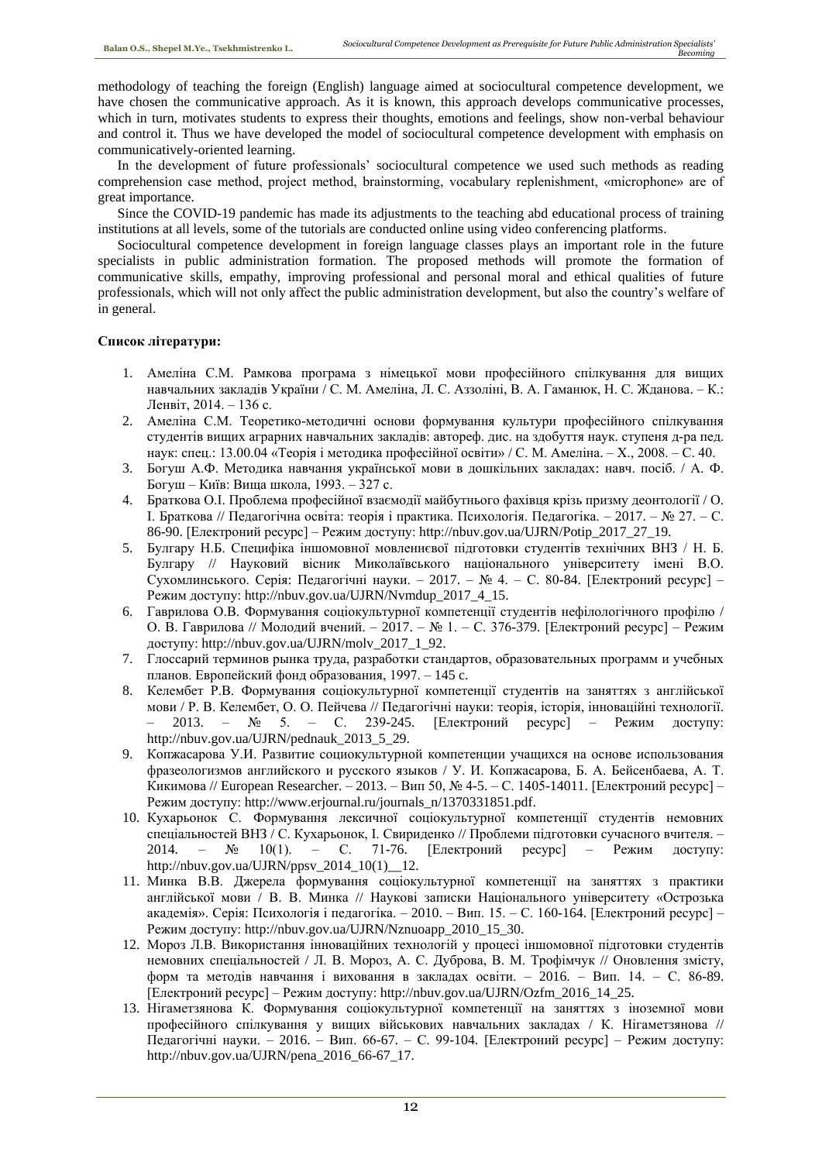methodology of teaching the foreign (English) language aimed at sociocultural competence development, we have chosen the communicative approach. As it is known, this approach develops communicative processes, which in turn, motivates students to express their thoughts, emotions and feelings, show non-verbal behaviour and control it. Thus we have developed the model of sociocultural competence development with emphasis on communicatively-oriented learning.

In the development of future professionals' sociocultural competence we used such methods as reading comprehension case method, project method, brainstorming, vocabulary replenishment, «microphone» are of great importance.

Since the COVID-19 pandemic has made its adjustments to the teaching abd educational process of training institutions at all levels, some of the tutorials are conducted online using video conferencing platforms.

Sociocultural competence development in foreign language classes plays an important role in the future specialists in public administration formation. The proposed methods will promote the formation of communicative skills, empathy, improving professional and personal moral and ethical qualities of future professionals, which will not only affect the public administration development, but also the country's welfare of in general.

# **Список літератури:**

- 1. Амеліна С.М. Рамкова програма з німецької мови професійного спілкування для вищих навчальних закладів України / С. М. Амеліна, Л. С. Аззоліні, В. А. Гаманюк, Н. С. Жданова. – К.: Ленвіт, 2014. – 136 с.
- 2. Амеліна С.М. Теоретико-методичні основи формування культури професійного спілкування студентів вищих аграрних навчальних закладів: автореф. дис. на здобуття наук. ступеня д-ра пед. наук: спец.: 13.00.04 «Теорія і методика професійної освіти» / С. М. Амеліна. – Х., 2008. – С. 40.
- 3. Богуш А.Ф. Методика навчання української мови в дошкільних закладах: навч. посіб. / А. Ф. Богуш – Київ: Вища школа, 1993. – 327 с.
- 4. Браткова О.І. Проблема професійної взаємодії майбутнього фахівця крізь призму деонтології / О. І. Браткова // Педагогічна освіта: теорія і практика. Психологія. Педагогіка. – 2017. – № 27. – С. 86-90. [Електроний ресурс] – Режим доступу: http://nbuv.gov.ua/UJRN/Potip\_2017\_27\_19.
- 5. Булгару Н.Б. Специфіка іншомовної мовленнєвої підготовки студентів технічних ВНЗ / Н. Б. Булгару // Науковий вісник Миколаївського національного університету імені В.О. Сухомлинського. Серія: Педагогічні науки. – 2017. – № 4. – С. 80-84. [Електроний ресурс] – Режим доступу: http://nbuv.gov.ua/UJRN/Nvmdup\_2017\_4\_15.
- 6. Гаврилова О.В. Формування соціокультурної компетенції студентів нефілологічного профілю / О. В. Гаврилова // Молодий вчений. – 2017. – № 1. – С. 376-379. [Електроний ресурс] – Режим доступу: http://nbuv.gov.ua/UJRN/molv\_2017\_1\_92.
- 7. Глоссарий терминов рынка труда, разработки стандартов, образовательных программ и учебных планов. Европейский фонд образования, 1997. – 145 c.
- 8. Келембет Р.В. Формування соціокультурної компетенції студентів на заняттях з англійської мови / Р. В. Келембет, О. О. Пейчева // Педагогічні науки: теорія, історія, інноваційні технології. – 2013. – № 5. – С. 239-245. [Електроний ресурс] – Режим доступу: http://nbuv.gov.ua/UJRN/pednauk\_2013\_5\_29.
- 9. Копжасарова У.И. Развитие социокультурной компетенции учащихся на основе использования фразеологизмов английского и русского языков / У. И. Копжасарова, Б. А. Бейсенбаева, А. Т. Кикимова // European Researcher. – 2013. – Вип 50, № 4-5. – С. 1405-14011. [Електроний ресурс] – Режим доступу: http://www.erjournal.ru/journals\_n/1370331851.pdf.
- 10. Кухарьонок С. Формування лексичної соціокультурної компетенції студентів немовних спеціальностей ВНЗ / С. Кухарьонок, І. Свириденко // Проблеми підготовки сучасного вчителя. – 2014. – № 10(1). – С. 71-76. [Електроний ресурс] – Режим доступу: http://nbuv.gov.ua/UJRN/ppsv\_2014\_10(1)\_12.
- 11. Минка В.В. Джерела формування соціокультурної компетенції на заняттях з практики англійської мови / В. В. Минка // Наукові записки Національного університету «Острозька академія». Серія: Психологія і педагогіка. – 2010. – Вип. 15. – С. 160-164. [Електроний ресурс] – Режим доступу: http://nbuv.gov.ua/UJRN/Nznuoapp\_2010\_15\_30.
- 12. Мороз Л.В. Використання інноваційних технологій у процесі іншомовної підготовки студентів немовних спеціальностей / Л. В. Мороз, А. С. Дуброва, В. М. Трофімчук // Оновлення змісту, форм та методів навчання і виховання в закладах освіти. – 2016. – Вип. 14. – С. 86-89. [Електроний ресурс] – Режим доступу: http://nbuv.gov.ua/UJRN/Ozfm\_2016\_14\_25.
- 13. Нігаметзянова К. Формування соціокультурної компетенції на заняттях з іноземної мови професійного спілкування у вищих військових навчальних закладах / К. Нігаметзянова // Педагогічні науки. – 2016. – Вип. 66-67. – С. 99-104. [Електроний ресурс] – Режим доступу: http://nbuv.gov.ua/UJRN/pena\_2016\_66-67\_17.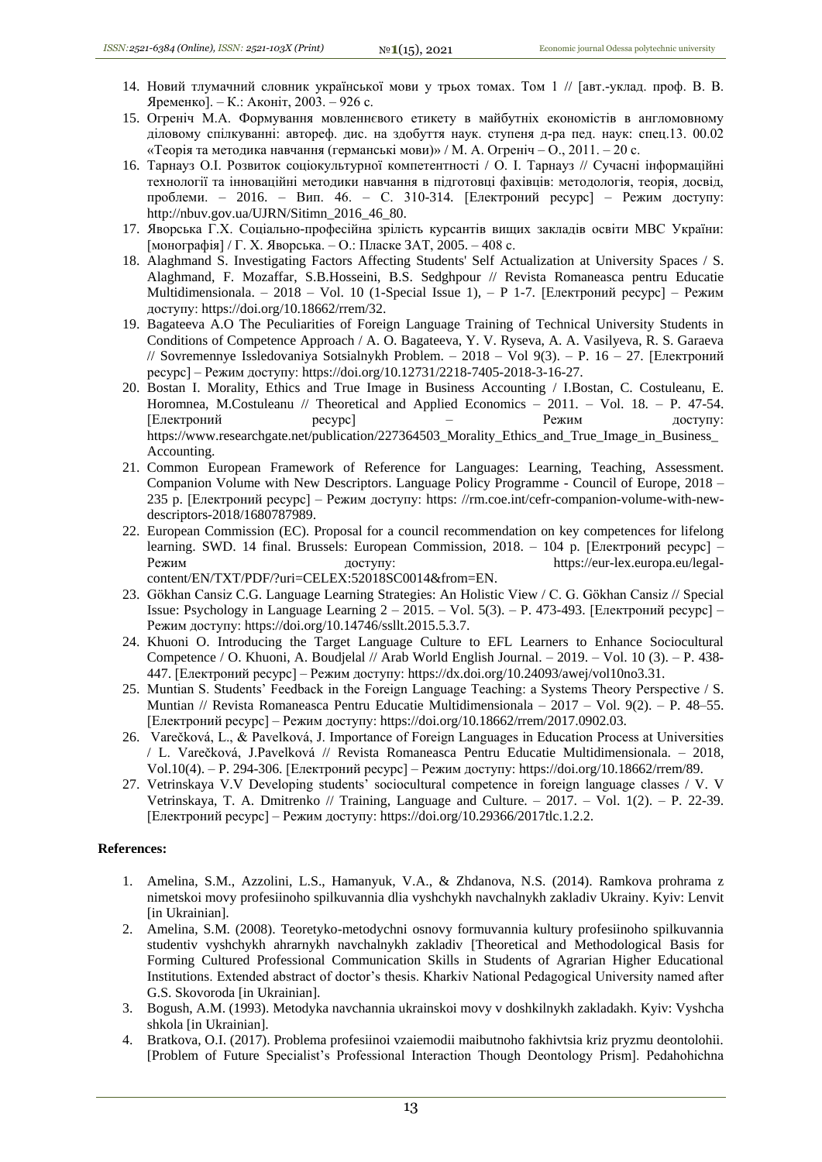- 14. Новий тлумачний словник української мови у трьох томах. Том 1 // [авт.-уклад. проф. В. В. Яременко]. – К.: Аконіт, 2003. – 926 с.
- 15. Огреніч М.А. Формування мовленнєвого етикету в майбутніх економістів в англомовному діловому спілкуванні: автореф. дис. на здобуття наук. ступеня д-ра пед. наук: спец.13. 00.02 «Теорія та методика навчання (германські мови)» / М. А. Огреніч – О., 2011. – 20 с.
- 16. Тарнауз О.І. Розвиток соціокультурної компетентності / О. І. Тарнауз // Сучасні інформаційні технології та інноваційні методики навчання в підготовці фахівців: методологія, теорія, досвід, проблеми. – 2016. – Вип. 46. – С. 310-314. [Електроний ресурс] – Режим доступу: http://nbuv.gov.ua/UJRN/Sitimn\_2016\_46\_80.
- 17. Яворська Г.Х. Соціально-професійна зрілість курсантів вищих закладів освіти МВС України: [монографія] / Г. Х. Яворська. – О.: Пласке ЗАТ, 2005. – 408 с.
- 18. Alaghmand S. Investigating Factors Affecting Students' Self Actualization at University Spaces / S. Alaghmand, F. Mozaffar, S.B.Hosseini, B.S. Sedghpour // Revista Romaneasca pentru Educatie Multidimensionala. – 2018 – Vol. 10 (1-Special Issue 1), – P 1-7. [Електроний ресурс] – Режим доступу: https://doi.org/10.18662/rrem/32.
- 19. Bagateeva A.O The Peculiarities of Foreign Language Training of Technical University Students in Conditions of Competence Approach / A. O. Bagateeva, Y. V. Ryseva, A. A. Vasilyeva, R. S. Garaeva // Sovremennye Issledovaniya Sotsialnykh Problem. – 2018 – Vol 9(3). – P. 16 – 27. [Електроний ресурс] – Режим доступу: https://doi.org/10.12731/2218-7405-2018-3-16-27.
- 20. Bostan I. Morality, Ethics and True Image in Business Accounting / I.Bostan, C. Costuleanu, E. Horomnea, M.Costuleanu // Theoretical and Applied Economics – 2011. – Vol. 18. – P. 47-54. [Електроний ресурс] – Режим доступу: https://www.researchgate.net/publication/227364503\_Morality\_Ethics\_and\_True\_Image\_in\_Business\_ Accounting.
- 21. Common European Framework of Reference for Languages: Learning, Teaching, Assessment. Companion Volume with New Descriptors. Language Policy Programme - Council of Europe, 2018 – 235 p. [Електроний ресурс] – Режим доступу: https: //rm.coe.int/cefr-companion-volume-with-newdescriptors-2018/1680787989.
- 22. European Commission (EC). Proposal for a council recommendation on key competences for lifelong learning. SWD. 14 final. Brussels: European Commission, 2018. – 104 p. [Електроний ресурс] – Режим доступу: https://eur-lex.europa.eu/legalcontent/EN/TXT/PDF/?uri=CELEX:52018SC0014&from=EN.
- 23. Gökhan Cansiz C.G. Language Learning Strategies: An Holistic View / C. G. Gökhan Cansiz // Special Issue: Psychology in Language Learning 2 – 2015. – Vol. 5(3). – P. 473-493. [Електроний ресурс] – Режим доступу: https://doi.org/10.14746/ssllt.2015.5.3.7.
- 24. Khuoni O. Introducing the Target Language Culture to EFL Learners to Enhance Sociocultural Competence / O. Khuoni, A. Boudjelal // Arab World English Journal. – 2019. – Vol. 10 (3). – P. 438- 447. [Електроний ресурс] – Режим доступу: https://dx.doi.org/10.24093/awej/vol10no3.31.
- 25. Muntian S. Students' Feedback in the Foreign Language Teaching: a Systems Theory Perspective / S. Muntian // Revista Romaneasca Pentru Educatie Multidimensionala – 2017 – Vol. 9(2). – P. 48–55. [Електроний ресурс] – Режим доступу: https://doi.org/10.18662/rrem/2017.0902.03.
- 26. Varečková, L., & Pavelková, J. Importance of Foreign Languages in Education Process at Universities / L. Varečková, J.Pavelková // Revista Romaneasca Pentru Educatie Multidimensionala. – 2018, Vol.10(4). – P. 294-306. [Електроний ресурс] – Режим доступу: https://doi.org/10.18662/rrem/89.
- 27. Vetrinskaya V.V Developing students' sociocultural competence in foreign language classes / V. V Vetrinskaya, T. A. Dmitrenko // Training, Language and Culture. – 2017. – Vol. 1(2). – P. 22-39. [Електроний ресурс] – Режим доступу: https://doi.org/10.29366/2017tlc.1.2.2.

## **References:**

- 1. Amelina, S.M., Azzolini, L.S., Hamanyuk, V.A., & Zhdanova, N.S. (2014). Ramkova prohrama z nimetskoi movy profesiinoho spilkuvannia dlia vyshchykh navchalnykh zakladiv Ukrainy. Kyiv: Lenvit [in Ukrainian].
- 2. Amelina, S.M. (2008). Teoretyko-metodychni osnovy formuvannia kultury profesiinoho spilkuvannia studentiv vyshchykh ahrarnykh navchalnykh zakladiv [Theoretical and Methodological Basis for Forming Cultured Professional Communication Skills in Students of Agrarian Higher Educational Institutions. Extended abstract of doctor's thesis. Kharkiv National Pedagogical University named after G.S. Skovoroda [in Ukrainian].
- 3. Bogush, A.M. (1993). Metodyka navchannia ukrainskoi movy v doshkilnykh zakladakh. Kyiv: Vyshcha shkola [in Ukrainian].
- 4. Bratkova, O.I. (2017). Problema profesiinoi vzaiemodii maibutnoho fakhivtsia kriz pryzmu deontolohii. [Problem of Future Specialist's Professional Interaction Though Deontology Prism]. Pedahohichna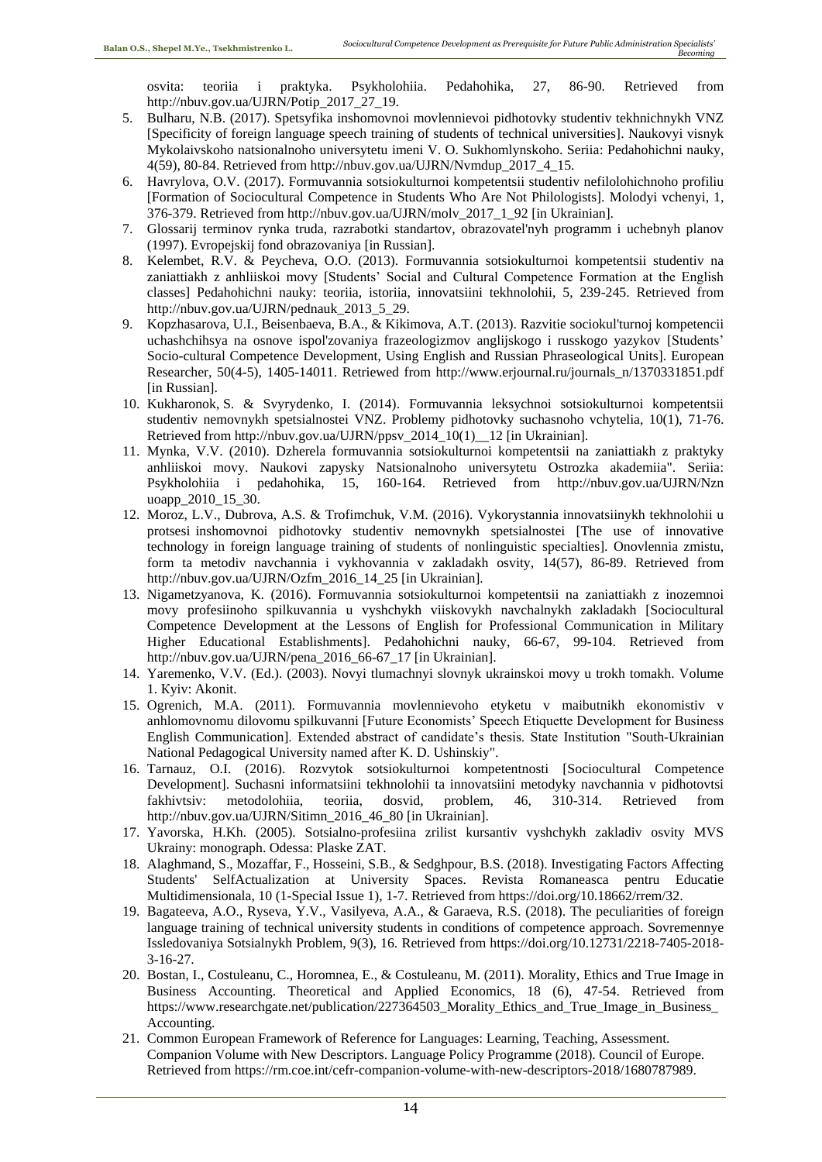osvita: teoriia i praktyka. Psykholohiia. Pedahohika, 27, 86-90. Retrieved from http://nbuv.gov.ua/UJRN/Potip\_2017\_27\_19.

- 5. Bulharu, N.B. (2017). Spetsyfika inshomovnoi movlennievoi pidhotovky studentiv tekhnichnykh VNZ [Specificity of foreign language speech training of students of technical universities]. Naukovyi visnyk Mykolaivskoho natsionalnoho universytetu imeni V. O. Sukhomlynskoho. Seriia: Pedahohichni nauky, 4(59), 80-84. Retrieved from http://nbuv.gov.ua/UJRN/Nvmdup\_2017\_4\_15.
- 6. Havrylova, O.V. (2017). Formuvannia sotsiokulturnoi kompetentsii studentiv nefilolohichnoho profiliu [Formation of Sociocultural Competence in Students Who Are Not Philologists]. Molodyi vchenyi, 1, 376-379. Retrieved from http://nbuv.gov.ua/UJRN/molv\_2017\_1\_92 [in Ukrainian].
- 7. Glossarij terminov rynka truda, razrabotki standartov, obrazovatel'nyh programm i uchebnyh planov (1997). Evropejskij fond obrazovaniya [in Russian].
- 8. Kelembet, R.V. & Peycheva, O.O. (2013). Formuvannia sotsiokulturnoi kompetentsii studentiv na zaniattiakh z anhliiskoi movy [Students' Social and Cultural Competence Formation at the English classes] Pedahohichni nauky: teoriia, istoriia, innovatsiini tekhnolohii, 5, 239-245. Retrieved from http://nbuv.gov.ua/UJRN/pednauk\_2013\_5\_29.
- 9. Kopzhasarova, U.I., Beisenbaeva, B.A., & Kikimova, A.T. (2013). Razvitie sociokul'turnoj kompetencii uchashchihsya na osnove ispol'zovaniya frazeologizmov anglijskogo i russkogo yazykov [Students' Socio-cultural Competence Development, Using English and Russian Phraseological Units]. European Researcher, 50(4-5), 1405-14011. Retriewed from http://www.erjournal.ru/journals\_n/1370331851.pdf [in Russian].
- 10. Kukharonok, S. & Svyrydenko, I. (2014). Formuvannia leksychnoi sotsiokulturnoi kompetentsii studentiv nemovnykh spetsialnostei VNZ. Problemy pidhotovky suchasnoho vchytelia, 10(1), 71-76. Retrieved from http://nbuv.gov.ua/UJRN/ppsv\_2014\_10(1)\_\_12 [in Ukrainian].
- 11. Mynka, V.V. (2010). Dzherela formuvannia sotsiokulturnoi kompetentsii na zaniattiakh z praktyky anhliiskoi movy. Naukovi zapysky Natsionalnoho universytetu Ostrozka akademiia". Seriia: Psykholohiia i pedahohika, 15, 160-164. Retrieved from http://nbuv.gov.ua/UJRN/Nzn uoapp\_2010\_15\_30.
- 12. Moroz, L.V., Dubrova, A.S. & Trofimchuk, V.M. (2016). Vykorystannia innovatsiinykh tekhnolohii u protsesi inshomovnoi pidhotovky studentiv nemovnykh spetsialnostei [The use of innovative technology in foreign language training of students of nonlinguistic specialties]. Onovlennia zmistu, form ta metodiv navchannia i vykhovannia v zakladakh osvity, 14(57), 86-89. Retrieved from http://nbuv.gov.ua/UJRN/Ozfm\_2016\_14\_25 [in Ukrainian].
- 13. Nigametzyanova, K. (2016). Formuvannia sotsiokulturnoi kompetentsii na zaniattiakh z inozemnoi movy profesiinoho spilkuvannia u vyshchykh viiskovykh navchalnykh zakladakh [Sociocultural Competence Development at the Lessons of English for Professional Communication in Military Higher Educational Establishments]. Pedahohichni nauky, 66-67, 99-104. Retrieved from http://nbuv.gov.ua/UJRN/pena\_2016\_66-67\_17 [in Ukrainian].
- 14. Yaremenko, V.V. (Ed.). (2003). Novyi tlumachnyi slovnyk ukrainskoi movy u trokh tomakh. Volume 1. Кyiv: Akonit.
- 15. Ogrenich, M.A. (2011). Formuvannia movlennievoho etyketu v maibutnikh ekonomistiv v anhlomovnomu dilovomu spilkuvanni [Future Economists' Speech Etiquette Development for Business English Communication]. Extended abstract of candidate's thesis. State Institution "South-Ukrainian National Pedagogical University named after K. D. Ushinskiy".
- 16. Tarnauz, O.I. (2016). Rozvytok sotsiokulturnoi kompetentnosti [Sociocultural Competence Development]. Suchasni informatsiini tekhnolohii ta innovatsiini metodyky navchannia v pidhotovtsi fakhivtsiv: metodolohiia, teoriia, dosvid, problem, 46, 310-314. Retrieved from http://nbuv.gov.ua/UJRN/Sitimn\_2016\_46\_80 [in Ukrainian].
- 17. Yavorska, H.Kh. (2005). Sotsialno-profesiina zrilist kursantiv vyshchykh zakladiv osvity MVS Ukrainy: monograph. Odessa: Plaske ZAT.
- 18. Alaghmand, S., Mozaffar, F., Hosseini, S.B., & Sedghpour, B.S. (2018). Investigating Factors Affecting Students' SelfActualization at University Spaces. Revista Romaneasca pentru Educatie Multidimensionala, 10 (1-Special Issue 1), 1-7. Retrieved from https://doi.org/10.18662/rrem/32.
- 19. Bagateeva, A.O., Ryseva, Y.V., Vasilyeva, A.A., & Garaeva, R.S. (2018). The peculiarities of foreign language training of technical university students in conditions of competence approach. Sovremennye Issledovaniya Sotsialnykh Problem, 9(3), 16. Retrieved from https://doi.org/10.12731/2218-7405-2018- 3-16-27.
- 20. Bostan, I., Costuleanu, C., Horomnea, E., & Costuleanu, M. (2011). Morality, Ethics and True Image in Business Accounting. Theoretical and Applied Economics, 18 (6), 47-54. Retrieved from https://www.researchgate.net/publication/227364503 Morality Ethics and True Image in Business Accounting.
- 21. Common European Framework of Reference for Languages: Learning, Teaching, Assessment. Companion Volume with New Descriptors. Language Policy Programme (2018). Council of Europe. Retrieved from https://rm.coe.int/cefr-companion-volume-with-new-descriptors-2018/1680787989.